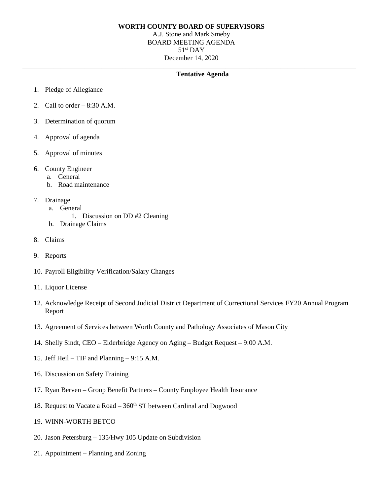# **WORTH COUNTY BOARD OF SUPERVISORS**

A.J. Stone and Mark Smeby BOARD MEETING AGENDA 51st DAY December 14, 2020

**\_\_\_\_\_\_\_\_\_\_\_\_\_\_\_\_\_\_\_\_\_\_\_\_\_\_\_\_\_\_\_\_\_\_\_\_\_\_\_\_\_\_\_\_\_\_\_\_\_\_\_\_\_\_\_\_\_\_\_\_\_\_\_\_\_\_\_\_\_\_\_\_\_\_\_\_\_\_\_\_\_\_\_\_\_\_\_\_\_\_\_\_\_\_\_\_\_**

# **Tentative Agenda**

- 1. Pledge of Allegiance
- 2. Call to order  $-8:30$  A.M.
- 3. Determination of quorum
- 4. Approval of agenda
- 5. Approval of minutes
- 6. County Engineer
	- a. General
	- b. Road maintenance
- 7. Drainage
	- a. General
		- 1. Discussion on DD #2 Cleaning
	- b. Drainage Claims
- 8. Claims
- 9. Reports
- 10. Payroll Eligibility Verification/Salary Changes
- 11. Liquor License
- 12. Acknowledge Receipt of Second Judicial District Department of Correctional Services FY20 Annual Program Report
- 13. Agreement of Services between Worth County and Pathology Associates of Mason City
- 14. Shelly Sindt, CEO Elderbridge Agency on Aging Budget Request 9:00 A.M.
- 15. Jeff Heil TIF and Planning 9:15 A.M.
- 16. Discussion on Safety Training
- 17. Ryan Berven Group Benefit Partners County Employee Health Insurance
- 18. Request to Vacate a Road 360<sup>th</sup> ST between Cardinal and Dogwood
- 19. WINN-WORTH BETCO
- 20. Jason Petersburg 135/Hwy 105 Update on Subdivision
- 21. Appointment Planning and Zoning